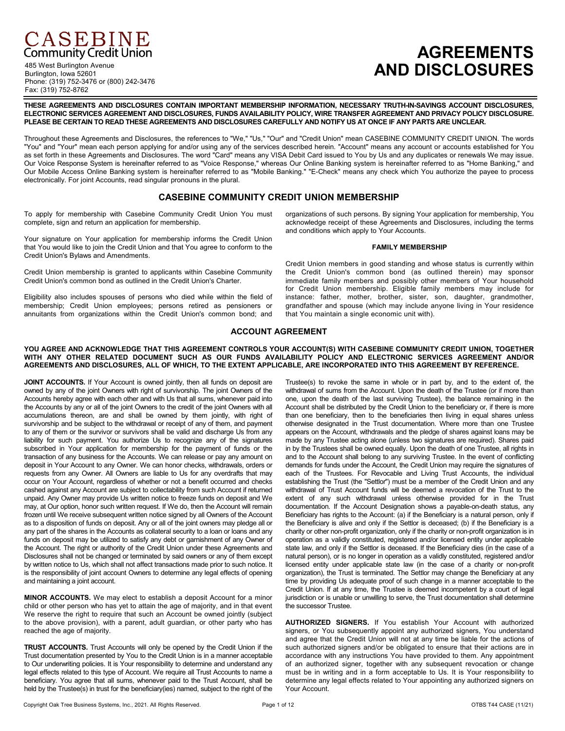**THESE AGREEMENTS AND DISCLOSURES CONTAIN IMPORTANT MEMBERSHIP INFORMATION, NECESSARY TRUTH-IN-SAVINGS ACCOUNT DISCLOSURES, ELECTRONIC SERVICES AGREEMENT AND DISCLOSURES, FUNDS AVAILABILITY POLICY, WIRE TRANSFER AGREEMENT AND PRIVACY POLICY DISCLOSURE. PLEASE BE CERTAIN TO READ THESE AGREEMENTS AND DISCLOSURES CAREFULLY AND NOTIFY US AT ONCE IF ANY PARTS ARE UNCLEAR.** 

Throughout these Agreements and Disclosures, the references to "We," "Us," "Our" and "Credit Union" mean CASEBINE COMMUNITY CREDIT UNION. The words "You" and "Your" mean each person applying for and/or using any of the services described herein. "Account" means any account or accounts established for You as set forth in these Agreements and Disclosures. The word "Card" means any VISA Debit Card issued to You by Us and any duplicates or renewals We may issue. Our Voice Response System is hereinafter referred to as "Voice Response," whereas Our Online Banking system is hereinafter referred to as "Home Banking," and Our Mobile Access Online Banking system is hereinafter referred to as "Mobile Banking." "E-Check" means any check which You authorize the payee to process electronically. For joint Accounts, read singular pronouns in the plural.

## **CASEBINE COMMUNITY CREDIT UNION MEMBERSHIP**

To apply for membership with Casebine Community Credit Union You must complete, sign and return an application for membership.

Your signature on Your application for membership informs the Credit Union that You would like to join the Credit Union and that You agree to conform to the Credit Union's Bylaws and Amendments.

Credit Union membership is granted to applicants within Casebine Community Credit Union's common bond as outlined in the Credit Union's Charter.

Eligibility also includes spouses of persons who died while within the field of membership; Credit Union employees; persons retired as pensioners or annuitants from organizations within the Credit Union's common bond; and

**FAMILY MEMBERSHIP**  Credit Union members in good standing and whose status is currently within the Credit Union's common bond (as outlined therein) may sponsor immediate family members and possibly other members of Your household for Credit Union membership. Eligible family members may include for

instance: father, mother, brother, sister, son, daughter, grandmother, grandfather and spouse (which may include anyone living in Your residence

organizations of such persons. By signing Your application for membership, You acknowledge receipt of these Agreements and Disclosures, including the terms

and conditions which apply to Your Accounts.

that You maintain a single economic unit with).

### **ACCOUNT AGREEMENT**

#### **YOU AGREE AND ACKNOWLEDGE THAT THIS AGREEMENT CONTROLS YOUR ACCOUNT(S) WITH CASEBINE COMMUNITY CREDIT UNION, TOGETHER WITH ANY OTHER RELATED DOCUMENT SUCH AS OUR FUNDS AVAILABILITY POLICY AND ELECTRONIC SERVICES AGREEMENT AND/OR AGREEMENTS AND DISCLOSURES, ALL OF WHICH, TO THE EXTENT APPLICABLE, ARE INCORPORATED INTO THIS AGREEMENT BY REFERENCE.**

**JOINT ACCOUNTS.** If Your Account is owned jointly, then all funds on deposit are owned by any of the joint Owners with right of survivorship. The joint Owners of the Accounts hereby agree with each other and with Us that all sums, whenever paid into the Accounts by any or all of the joint Owners to the credit of the joint Owners with all accumulations thereon, are and shall be owned by them jointly, with right of survivorship and be subject to the withdrawal or receipt of any of them, and payment to any of them or the survivor or survivors shall be valid and discharge Us from any liability for such payment. You authorize Us to recognize any of the signatures subscribed in Your application for membership for the payment of funds or the transaction of any business for the Accounts. We can release or pay any amount on deposit in Your Account to any Owner. We can honor checks, withdrawals, orders or requests from any Owner. All Owners are liable to Us for any overdrafts that may occur on Your Account, regardless of whether or not a benefit occurred and checks cashed against any Account are subject to collectability from such Account if returned unpaid. Any Owner may provide Us written notice to freeze funds on deposit and We may, at Our option, honor such written request. If We do, then the Account will remain frozen until We receive subsequent written notice signed by all Owners of the Account as to a disposition of funds on deposit. Any or all of the joint owners may pledge all or any part of the shares in the Accounts as collateral security to a loan or loans and any funds on deposit may be utilized to satisfy any debt or garnishment of any Owner of the Account. The right or authority of the Credit Union under these Agreements and Disclosures shall not be changed or terminated by said owners or any of them except by written notice to Us, which shall not affect transactions made prior to such notice. It is the responsibility of joint account Owners to determine any legal effects of opening and maintaining a joint account.

**MINOR ACCOUNTS.** We may elect to establish a deposit Account for a minor child or other person who has yet to attain the age of majority, and in that event We reserve the right to require that such an Account be owned jointly (subject to the above provision), with a parent, adult guardian, or other party who has reached the age of majority.

**TRUST ACCOUNTS.** Trust Accounts will only be opened by the Credit Union if the Trust documentation presented by You to the Credit Union is in a manner acceptable to Our underwriting policies. It is Your responsibility to determine and understand any legal effects related to this type of Account. We require all Trust Accounts to name a beneficiary. You agree that all sums, whenever paid to the Trust Account, shall be held by the Trustee(s) in trust for the beneficiary(ies) named, subject to the right of the

Trustee(s) to revoke the same in whole or in part by, and to the extent of, the withdrawal of sums from the Account. Upon the death of the Trustee (or if more than one, upon the death of the last surviving Trustee), the balance remaining in the Account shall be distributed by the Credit Union to the beneficiary or, if there is more than one beneficiary, then to the beneficiaries then living in equal shares unless otherwise designated in the Trust documentation. Where more than one Trustee appears on the Account, withdrawals and the pledge of shares against loans may be made by any Trustee acting alone (unless two signatures are required). Shares paid in by the Trustees shall be owned equally. Upon the death of one Trustee, all rights in and to the Account shall belong to any surviving Trustee. In the event of conflicting demands for funds under the Account, the Credit Union may require the signatures of each of the Trustees. For Revocable and Living Trust Accounts, the individual establishing the Trust (the "Settlor") must be a member of the Credit Union and any withdrawal of Trust Account funds will be deemed a revocation of the Trust to the extent of any such withdrawal unless otherwise provided for in the Trust documentation. If the Account Designation shows a payable-on-death status, any Beneficiary has rights to the Account: (a) if the Beneficiary is a natural person, only if the Beneficiary is alive and only if the Settlor is deceased; (b) if the Beneficiary is a charity or other non-profit organization, only if the charity or non-profit organization is in operation as a validly constituted, registered and/or licensed entity under applicable state law, and only if the Settlor is deceased. If the Beneficiary dies (in the case of a natural person), or is no longer in operation as a validly constituted, registered and/or licensed entity under applicable state law (in the case of a charity or non-profit organization), the Trust is terminated. The Settlor may change the Beneficiary at any time by providing Us adequate proof of such change in a manner acceptable to the Credit Union. If at any time, the Trustee is deemed incompetent by a court of legal jurisdiction or is unable or unwilling to serve, the Trust documentation shall determine the successor Trustee.

**AUTHORIZED SIGNERS.** If You establish Your Account with authorized signers, or You subsequently appoint any authorized signers, You understand and agree that the Credit Union will not at any time be liable for the actions of such authorized signers and/or be obligated to ensure that their actions are in accordance with any instructions You have provided to them. Any appointment of an authorized signer, together with any subsequent revocation or change must be in writing and in a form acceptable to Us. It is Your responsibility to determine any legal effects related to Your appointing any authorized signers on Your Account.

# $\operatorname{CASEBINE}$ <br>Community Credit Union 485 West Burlington Avenue

Burlington, Iowa 52601 Phone: (319) 752-3476 or (800) 242-3476 Fax: (319) 752-8762

## **AGREEMENTS AND DISCLOSURES**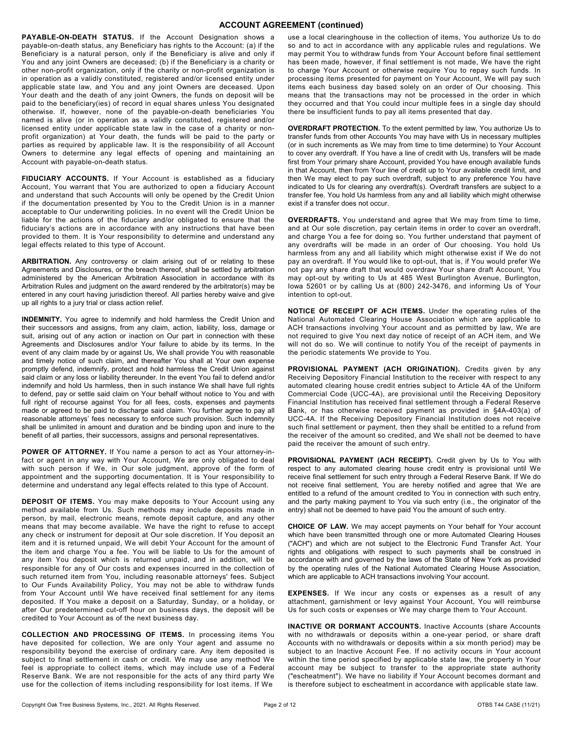#### **ACCOUNT AGREEMENT (continued)**

**PAYABLE-ON-DEATH STATUS.** If the Account Designation shows a payable-on-death status, any Beneficiary has rights to the Account: (a) if the Beneficiary is a natural person, only if the Beneficiary is alive and only if You and any joint Owners are deceased; (b) if the Beneficiary is a charity or other non-profit organization, only if the charity or non-profit organization is in operation as a validly constituted, registered and/or licensed entity under applicable state law, and You and any joint Owners are deceased. Upon Your death and the death of any joint Owners, the funds on deposit will be paid to the beneficiary(ies) of record in equal shares unless You designated otherwise. If, however, none of the payable-on-death beneficiaries You named is alive (or in operation as a validly constituted, registered and/or licensed entity under applicable state law in the case of a charity or nonprofit organization) at Your death, the funds will be paid to the party or parties as required by applicable law. It is the responsibility of all Account Owners to determine any legal effects of opening and maintaining an Account with payable-on-death status.

**FIDUCIARY ACCOUNTS.** If Your Account is established as a fiduciary Account, You warrant that You are authorized to open a fiduciary Account and understand that such Accounts will only be opened by the Credit Union if the documentation presented by You to the Credit Union is in a manner acceptable to Our underwriting policies. In no event will the Credit Union be liable for the actions of the fiduciary and/or obligated to ensure that the fiduciary's actions are in accordance with any instructions that have been provided to them. It is Your responsibility to determine and understand any legal effects related to this type of Account.

**ARBITRATION.** Any controversy or claim arising out of or relating to these Agreements and Disclosures, or the breach thereof, shall be settled by arbitration administered by the American Arbitration Association in accordance with its Arbitration Rules and judgment on the award rendered by the arbitrator(s) may be entered in any court having jurisdiction thereof. All parties hereby waive and give up all rights to a jury trial or class action relief.

**INDEMNITY.** You agree to indemnify and hold harmless the Credit Union and their successors and assigns, from any claim, action, liability, loss, damage or suit, arising out of any action or inaction on Our part in connection with these Agreements and Disclosures and/or Your failure to abide by its terms. In the event of any claim made by or against Us, We shall provide You with reasonable and timely notice of such claim, and thereafter You shall at Your own expense promptly defend, indemnify, protect and hold harmless the Credit Union against said claim or any loss or liability thereunder. In the event You fail to defend and/or indemnify and hold Us harmless, then in such instance We shall have full rights to defend, pay or settle said claim on Your behalf without notice to You and with full right of recourse against You for all fees, costs, expenses and payments made or agreed to be paid to discharge said claim. You further agree to pay all reasonable attorneys' fees necessary to enforce such provision. Such indemnity shall be unlimited in amount and duration and be binding upon and inure to the benefit of all parties, their successors, assigns and personal representatives.

**POWER OF ATTORNEY.** If You name a person to act as Your attorney-infact or agent in any way with Your Account, We are only obligated to deal with such person if We, in Our sole judgment, approve of the form of appointment and the supporting documentation. It is Your responsibility to determine and understand any legal effects related to this type of Account.

**DEPOSIT OF ITEMS.** You may make deposits to Your Account using any method available from Us. Such methods may include deposits made in person, by mail, electronic means, remote deposit capture, and any other means that may become available. We have the right to refuse to accept any check or instrument for deposit at Our sole discretion. If You deposit an item and it is returned unpaid, We will debit Your Account for the amount of the item and charge You a fee. You will be liable to Us for the amount of any item You deposit which is returned unpaid, and in addition, will be responsible for any of Our costs and expenses incurred in the collection of such returned item from You, including reasonable attorneys' fees. Subject to Our Funds Availability Policy, You may not be able to withdraw funds from Your Account until We have received final settlement for any items deposited. If You make a deposit on a Saturday, Sunday, or a holiday, or after Our predetermined cut-off hour on business days, the deposit will be credited to Your Account as of the next business day.

**COLLECTION AND PROCESSING OF ITEMS.** In processing items You have deposited for collection, We are only Your agent and assume no responsibility beyond the exercise of ordinary care. Any item deposited is subject to final settlement in cash or credit. We may use any method We feel is appropriate to collect items, which may include use of a Federal Reserve Bank. We are not responsible for the acts of any third party We use for the collection of items including responsibility for lost items. If We

use a local clearinghouse in the collection of items, You authorize Us to do so and to act in accordance with any applicable rules and regulations. We may permit You to withdraw funds from Your Account before final settlement has been made, however, if final settlement is not made, We have the right to charge Your Account or otherwise require You to repay such funds. In processing items presented for payment on Your Account, We will pay such items each business day based solely on an order of Our choosing. This means that the transactions may not be processed in the order in which they occurred and that You could incur multiple fees in a single day should there be insufficient funds to pay all items presented that day.

**OVERDRAFT PROTECTION.** To the extent permitted by law, You authorize Us to transfer funds from other Accounts You may have with Us in necessary multiples (or in such increments as We may from time to time determine) to Your Account to cover any overdraft. If You have a line of credit with Us, transfers will be made first from Your primary share Account, provided You have enough available funds in that Account, then from Your line of credit up to Your available credit limit, and then We may elect to pay such overdraft, subject to any preference You have indicated to Us for clearing any overdraft(s). Overdraft transfers are subject to a transfer fee. You hold Us harmless from any and all liability which might otherwise exist if a transfer does not occur.

**OVERDRAFTS.** You understand and agree that We may from time to time, and at Our sole discretion, pay certain items in order to cover an overdraft, and charge You a fee for doing so. You further understand that payment of any overdrafts will be made in an order of Our choosing. You hold Us harmless from any and all liability which might otherwise exist if We do not pay an overdraft. If You would like to opt-out, that is, if You would prefer We not pay any share draft that would overdraw Your share draft Account, You may opt-out by writing to Us at 485 West Burlington Avenue, Burlington, Iowa 52601 or by calling Us at (800) 242-3476, and informing Us of Your intention to opt-out.

**NOTICE OF RECEIPT OF ACH ITEMS.** Under the operating rules of the National Automated Clearing House Association which are applicable to ACH transactions involving Your account and as permitted by law, We are not required to give You next day notice of receipt of an ACH item, and We will not do so. We will continue to notify You of the receipt of payments in the periodic statements We provide to You.

**PROVISIONAL PAYMENT (ACH ORIGINATION).** Credits given by any Receiving Depository Financial Institution to the receiver with respect to any automated clearing house credit entries subject to Article 4A of the Uniform Commercial Code (UCC-4A), are provisional until the Receiving Depository Financial Institution has received final settlement through a Federal Reserve Bank, or has otherwise received payment as provided in §4A-403(a) of UCC-4A. If the Receiving Depository Financial Institution does not receive such final settlement or payment, then they shall be entitled to a refund from the receiver of the amount so credited, and We shall not be deemed to have paid the receiver the amount of such entry.

PROVISIONAL PAYMENT (ACH RECEIPT). Credit given by Us to You with respect to any automated clearing house credit entry is provisional until We receive final settlement for such entry through a Federal Reserve Bank. If We do not receive final settlement, You are hereby notified and agree that We are entitled to a refund of the amount credited to You in connection with such entry, and the party making payment to You via such entry (i.e., the originator of the entry) shall not be deemed to have paid You the amount of such entry.

**CHOICE OF LAW.** We may accept payments on Your behalf for Your account which have been transmitted through one or more Automated Clearing Houses ("ACH") and which are not subject to the Electronic Fund Transfer Act. Your rights and obligations with respect to such payments shall be construed in accordance with and governed by the laws of the State of New York as provided by the operating rules of the National Automated Clearing House Association, which are applicable to ACH transactions involving Your account.

**EXPENSES.** If We incur any costs or expenses as a result of any attachment, garnishment or levy against Your Account, You will reimburse Us for such costs or expenses or We may charge them to Your Account.

**INACTIVE OR DORMANT ACCOUNTS.** Inactive Accounts (share Accounts with no withdrawals or deposits within a one-year period, or share draft Accounts with no withdrawals or deposits within a six month period) may be subject to an Inactive Account Fee. If no activity occurs in Your account within the time period specified by applicable state law, the property in Your account may be subject to transfer to the appropriate state authority ("escheatment"). We have no liability if Your Account becomes dormant and is therefore subject to escheatment in accordance with applicable state law.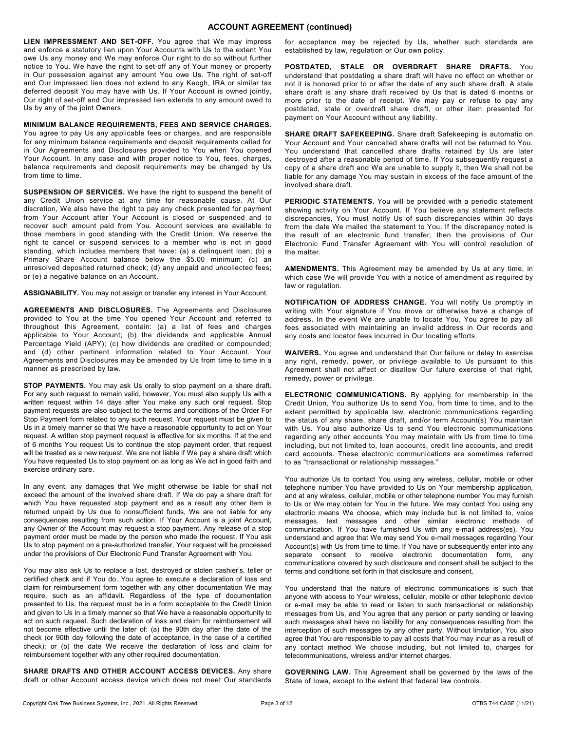#### **ACCOUNT AGREEMENT (continued)**

**LIEN IMPRESSMENT AND SET-OFF.** You agree that We may impress and enforce a statutory lien upon Your Accounts with Us to the extent You owe Us any money and We may enforce Our right to do so without further notice to You. We have the right to set-off any of Your money or property in Our possession against any amount You owe Us. The right of set-off and Our impressed lien does not extend to any Keogh, IRA or similar tax deferred deposit You may have with Us. If Your Account is owned jointly, Our right of set-off and Our impressed lien extends to any amount owed to Us by any of the joint Owners.

**MINIMUM BALANCE REQUIREMENTS, FEES AND SERVICE CHARGES.** You agree to pay Us any applicable fees or charges, and are responsible for any minimum balance requirements and deposit requirements called for in Our Agreements and Disclosures provided to You when You opened Your Account. In any case and with proper notice to You, fees, charges, balance requirements and deposit requirements may be changed by Us from time to time.

**SUSPENSION OF SERVICES.** We have the right to suspend the benefit of any Credit Union service at any time for reasonable cause. At Our discretion, We also have the right to pay any check presented for payment from Your Account after Your Account is closed or suspended and to recover such amount paid from You. Account services are available to those members in good standing with the Credit Union. We reserve the right to cancel or suspend services to a member who is not in good standing, which includes members that have: (a) a delinquent loan; (b) a Primary Share Account balance below the \$5.00 minimum; (c) an unresolved deposited returned check; (d) any unpaid and uncollected fees; or (e) a negative balance on an Account.

**ASSIGNABILITY.** You may not assign or transfer any interest in Your Account.

**AGREEMENTS AND DISCLOSURES.** The Agreements and Disclosures provided to You at the time You opened Your Account and referred to throughout this Agreement, contain: (a) a list of fees and charges applicable to Your Account; (b) the dividends and applicable Annual Percentage Yield (APY); (c) how dividends are credited or compounded; and (d) other pertinent information related to Your Account. Your Agreements and Disclosures may be amended by Us from time to time in a manner as prescribed by law.

**STOP PAYMENTS.** You may ask Us orally to stop payment on a share draft. For any such request to remain valid, however, You must also supply Us with a written request within 14 days after You make any such oral request. Stop payment requests are also subject to the terms and conditions of the Order For Stop Payment form related to any such request. Your request must be given to Us in a timely manner so that We have a reasonable opportunity to act on Your request. A written stop payment request is effective for six months. If at the end of 6 months You request Us to continue the stop payment order, that request will be treated as a new request. We are not liable if We pay a share draft which You have requested Us to stop payment on as long as We act in good faith and exercise ordinary care.

In any event, any damages that We might otherwise be liable for shall not exceed the amount of the involved share draft. If We do pay a share draft for which You have requested stop payment and as a result any other item is returned unpaid by Us due to nonsufficient funds, We are not liable for any consequences resulting from such action. If Your Account is a joint Account, any Owner of the Account may request a stop payment. Any release of a stop payment order must be made by the person who made the request. If You ask Us to stop payment on a pre-authorized transfer, Your request will be processed under the provisions of Our Electronic Fund Transfer Agreement with You.

You may also ask Us to replace a lost, destroyed or stolen cashier's, teller or certified check and if You do, You agree to execute a declaration of loss and claim for reimbursement form together with any other documentation We may require, such as an affidavit. Regardless of the type of documentation presented to Us, the request must be in a form acceptable to the Credit Union and given to Us in a timely manner so that We have a reasonable opportunity to act on such request. Such declaration of loss and claim for reimbursement will not become effective until the later of: (a) the 90th day after the date of the check (or 90th day following the date of acceptance, in the case of a certified check); or (b) the date We receive the declaration of loss and claim for reimbursement together with any other required documentation.

**SHARE DRAFTS AND OTHER ACCOUNT ACCESS DEVICES.** Any share draft or other Account access device which does not meet Our standards for acceptance may be rejected by Us, whether such standards are established by law, regulation or Our own policy.

**POSTDATED, STALE OR OVERDRAFT SHARE DRAFTS.** You understand that postdating a share draft will have no effect on whether or not it is honored prior to or after the date of any such share draft. A stale share draft is any share draft received by Us that is dated 6 months or more prior to the date of receipt. We may pay or refuse to pay any postdated, stale or overdraft share draft, or other item presented for payment on Your Account without any liability.

**SHARE DRAFT SAFEKEEPING.** Share draft Safekeeping is automatic on Your Account and Your cancelled share drafts will not be returned to You. You understand that cancelled share drafts retained by Us are later destroyed after a reasonable period of time. If You subsequently request a copy of a share draft and We are unable to supply it, then We shall not be liable for any damage You may sustain in excess of the face amount of the involved share draft.

**PERIODIC STATEMENTS.** You will be provided with a periodic statement showing activity on Your Account. If You believe any statement reflects discrepancies, You must notify Us of such discrepancies within 30 days from the date We mailed the statement to You. If the discrepancy noted is the result of an electronic fund transfer, then the provisions of Our Electronic Fund Transfer Agreement with You will control resolution of the matter.

**AMENDMENTS.** This Agreement may be amended by Us at any time, in which case We will provide You with a notice of amendment as required by law or regulation.

**NOTIFICATION OF ADDRESS CHANGE.** You will notify Us promptly in writing with Your signature if You move or otherwise have a change of address. In the event We are unable to locate You, You agree to pay all fees associated with maintaining an invalid address in Our records and any costs and locator fees incurred in Our locating efforts.

**WAIVERS.** You agree and understand that Our failure or delay to exercise any right, remedy, power, or privilege available to Us pursuant to this Agreement shall not affect or disallow Our future exercise of that right, remedy, power or privilege.

**ELECTRONIC COMMUNICATIONS.** By applying for membership in the Credit Union, You authorize Us to send You, from time to time, and to the extent permitted by applicable law, electronic communications regarding the status of any share, share draft, and/or term Account(s) You maintain with Us. You also authorize Us to send You electronic communications regarding any other accounts You may maintain with Us from time to time including, but not limited to, loan accounts, credit line accounts, and credit card accounts. These electronic communications are sometimes referred to as "transactional or relationship messages."

You authorize Us to contact You using any wireless, cellular, mobile or other telephone number You have provided to Us on Your membership application, and at any wireless, cellular, mobile or other telephone number You may furnish to Us or We may obtain for You in the future. We may contact You using any electronic means We choose, which may include but is not limited to, voice messages, text messages and other similar electronic methods of communication. If You have furnished Us with any e-mail address(es), You understand and agree that We may send You e-mail messages regarding Your Account(s) with Us from time to time. If You have or subsequently enter into any separate consent to receive electronic documentation form, any communications covered by such disclosure and consent shall be subject to the terms and conditions set forth in that disclosure and consent.

You understand that the nature of electronic communications is such that anyone with access to Your wireless, cellular, mobile or other telephonic device or e-mail may be able to read or listen to such transactional or relationship messages from Us, and You agree that any person or party sending or leaving such messages shall have no liability for any consequences resulting from the interception of such messages by any other party. Without limitation, You also agree that You are responsible to pay all costs that You may incur as a result of any contact method We choose including, but not limited to, charges for telecommunications, wireless and/or internet charges.

**GOVERNING LAW.** This Agreement shall be governed by the laws of the State of Iowa, except to the extent that federal law controls.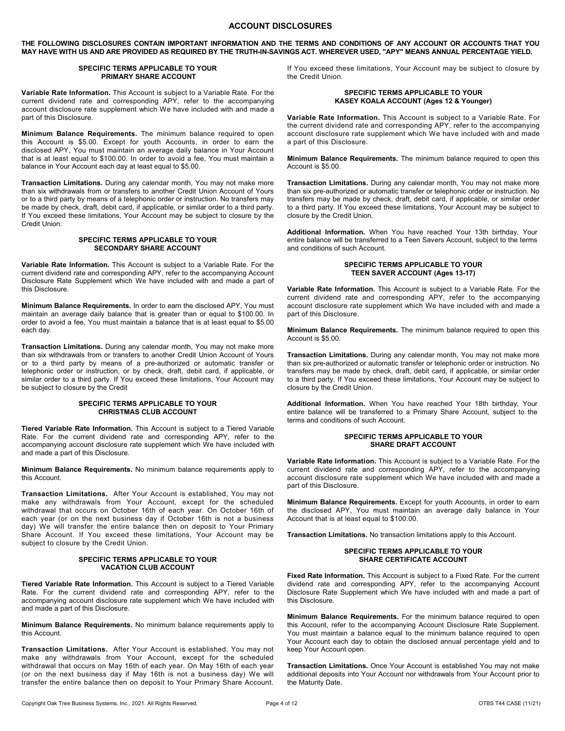#### **ACCOUNT DISCLOSURES**

**THE FOLLOWING DISCLOSURES CONTAIN IMPORTANT INFORMATION AND THE TERMS AND CONDITIONS OF ANY ACCOUNT OR ACCOUNTS THAT YOU MAY HAVE WITH US AND ARE PROVIDED AS REQUIRED BY THE TRUTH-IN-SAVINGS ACT. WHEREVER USED, "APY" MEANS ANNUAL PERCENTAGE YIELD.** 

#### **SPECIFIC TERMS APPLICABLE TO YOUR PRIMARY SHARE ACCOUNT**

**Variable Rate Information.** This Account is subject to a Variable Rate. For the current dividend rate and corresponding APY, refer to the accompanying account disclosure rate supplement which We have included with and made a part of this Disclosure.

**Minimum Balance Requirements.** The minimum balance required to open this Account is \$5.00. Except for youth Accounts, in order to earn the disclosed APY, You must maintain an average daily balance in Your Account that is at least equal to \$100.00. In order to avoid a fee, You must maintain a balance in Your Account each day at least equal to \$5.00.

**Transaction Limitations.** During any calendar month, You may not make more than six withdrawals from or transfers to another Credit Union Account of Yours or to a third party by means of a telephonic order or instruction. No transfers may be made by check, draft, debit card, if applicable, or similar order to a third party. If You exceed these limitations, Your Account may be subject to closure by the Credit Union.

#### **SPECIFIC TERMS APPLICABLE TO YOUR SECONDARY SHARE ACCOUNT**

**Variable Rate Information.** This Account is subject to a Variable Rate. For the current dividend rate and corresponding APY, refer to the accompanying Account Disclosure Rate Supplement which We have included with and made a part of this Disclosure.

**Minimum Balance Requirements.** In order to earn the disclosed APY, You must maintain an average daily balance that is greater than or equal to \$100.00. In order to avoid a fee, You must maintain a balance that is at least equal to \$5.00 each day.

**Transaction Limitations.** During any calendar month, You may not make more than six withdrawals from or transfers to another Credit Union Account of Yours or to a third party by means of a pre-authorized or automatic transfer or telephonic order or instruction, or by check, draft, debit card, if applicable, or similar order to a third party. If You exceed these limitations, Your Account may be subject to closure by the Credit

#### **SPECIFIC TERMS APPLICABLE TO YOUR CHRISTMAS CLUB ACCOUNT**

**Tiered Variable Rate Information.** This Account is subject to a Tiered Variable Rate. For the current dividend rate and corresponding APY, refer to the accompanying account disclosure rate supplement which We have included with and made a part of this Disclosure.

**Minimum Balance Requirements.** No minimum balance requirements apply to this Account.

**Transaction Limitations.** After Your Account is established, You may not make any withdrawals from Your Account, except for the scheduled withdrawal that occurs on October 16th of each year. On October 16th of each year (or on the next business day if October 16th is not a business day) We will transfer the entire balance then on deposit to Your Primary Share Account. If You exceed these limitations, Your Account may be subject to closure by the Credit Union.

#### **SPECIFIC TERMS APPLICABLE TO YOUR VACATION CLUB ACCOUNT**

**Tiered Variable Rate Information.** This Account is subject to a Tiered Variable Rate. For the current dividend rate and corresponding APY, refer to the accompanying account disclosure rate supplement which We have included with and made a part of this Disclosure.

**Minimum Balance Requirements.** No minimum balance requirements apply to this Account.

**Transaction Limitations.** After Your Account is established, You may not make any withdrawals from Your Account, except for the scheduled withdrawal that occurs on May 16th of each year. On May 16th of each year (or on the next business day if May 16th is not a business day) We will transfer the entire balance then on deposit to Your Primary Share Account.

If You exceed these limitations, Your Account may be subject to closure by the Credit Union.

#### **SPECIFIC TERMS APPLICABLE TO YOUR KASEY KOALA ACCOUNT (Ages 12 & Younger)**

**Variable Rate Information.** This Account is subject to a Variable Rate. For the current dividend rate and corresponding APY, refer to the accompanying account disclosure rate supplement which We have included with and made a part of this Disclosure.

**Minimum Balance Requirements.** The minimum balance required to open this Account is \$5.00.

**Transaction Limitations.** During any calendar month, You may not make more than six pre-authorized or automatic transfer or telephonic order or instruction. No transfers may be made by check, draft, debit card, if applicable, or similar order to a third party. If You exceed these limitations, Your Account may be subject to closure by the Credit Union.

**Additional Information.** When You have reached Your 13th birthday, Your entire balance will be transferred to a Teen Savers Account, subject to the terms and conditions of such Account.

#### **SPECIFIC TERMS APPLICABLE TO YOUR TEEN SAVER ACCOUNT (Ages 13-17)**

**Variable Rate Information.** This Account is subject to a Variable Rate. For the current dividend rate and corresponding APY, refer to the accompanying account disclosure rate supplement which We have included with and made a part of this Disclosure.

**Minimum Balance Requirements.** The minimum balance required to open this Account is \$5.00.

**Transaction Limitations.** During any calendar month, You may not make more than six pre-authorized or automatic transfer or telephonic order or instruction. No transfers may be made by check, draft, debit card, if applicable, or similar order to a third party. If You exceed these limitations, Your Account may be subject to closure by the Credit Union.

**Additional Information.** When You have reached Your 18th birthday, Your entire balance will be transferred to a Primary Share Account, subject to the terms and conditions of such Account.

#### **SPECIFIC TERMS APPLICABLE TO YOUR SHARE DRAFT ACCOUNT**

**Variable Rate Information.** This Account is subject to a Variable Rate. For the current dividend rate and corresponding APY, refer to the accompanying account disclosure rate supplement which We have included with and made a part of this Disclosure.

**Minimum Balance Requirements.** Except for youth Accounts, in order to earn the disclosed APY, You must maintain an average daily balance in Your Account that is at least equal to \$100.00.

**Transaction Limitations.** No transaction limitations apply to this Account.

#### **SPECIFIC TERMS APPLICABLE TO YOUR SHARE CERTIFICATE ACCOUNT**

**Fixed Rate Information.** This Account is subject to a Fixed Rate. For the current dividend rate and corresponding APY, refer to the accompanying Account Disclosure Rate Supplement which We have included with and made a part of this Disclosure.

**Minimum Balance Requirements.** For the minimum balance required to open this Account, refer to the accompanying Account Disclosure Rate Supplement. You must maintain a balance equal to the minimum balance required to open Your Account each day to obtain the disclosed annual percentage yield and to keep Your Account open.

**Transaction Limitations.** Once Your Account is established You may not make additional deposits into Your Account nor withdrawals from Your Account prior to the Maturity Date.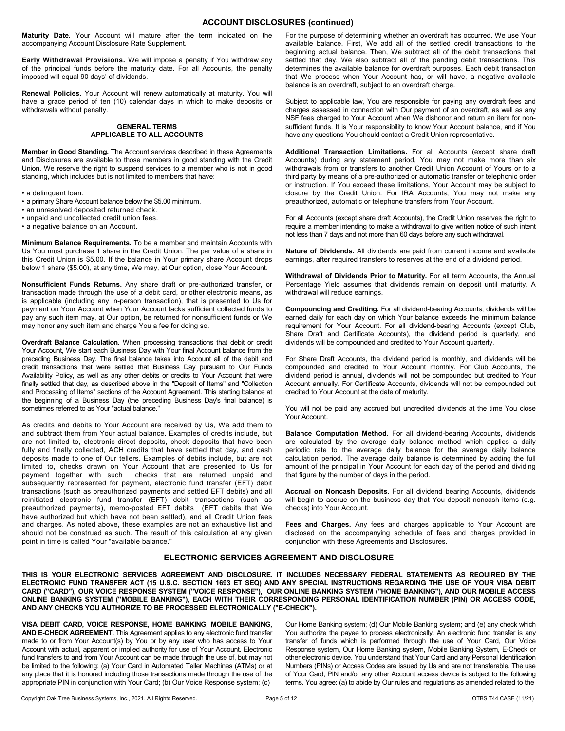**Maturity Date.** Your Account will mature after the term indicated on the accompanying Account Disclosure Rate Supplement.

**Early Withdrawal Provisions.** We will impose a penalty if You withdraw any of the principal funds before the maturity date. For all Accounts, the penalty imposed will equal 90 days' of dividends.

**Renewal Policies.** Your Account will renew automatically at maturity. You will have a grace period of ten (10) calendar days in which to make deposits or withdrawals without penalty.

#### **GENERAL TERMS APPLICABLE TO ALL ACCOUNTS**

**Member in Good Standing.** The Account services described in these Agreements and Disclosures are available to those members in good standing with the Credit Union. We reserve the right to suspend services to a member who is not in good standing, which includes but is not limited to members that have:

• a delinquent loan.

- a primary Share Account balance below the \$5.00 minimum.
- an unresolved deposited returned check.
- unpaid and uncollected credit union fees.

• a negative balance on an Account.

**Minimum Balance Requirements.** To be a member and maintain Accounts with Us You must purchase 1 share in the Credit Union. The par value of a share in this Credit Union is \$5.00. If the balance in Your primary share Account drops below 1 share (\$5.00), at any time, We may, at Our option, close Your Account.

**Nonsufficient Funds Returns.** Any share draft or pre-authorized transfer, or transaction made through the use of a debit card, or other electronic means, as is applicable (including any in-person transaction), that is presented to Us for payment on Your Account when Your Account lacks sufficient collected funds to pay any such item may, at Our option, be returned for nonsufficient funds or We may honor any such item and charge You a fee for doing so.

**Overdraft Balance Calculation.** When processing transactions that debit or credit Your Account, We start each Business Day with Your final Account balance from the preceding Business Day. The final balance takes into Account all of the debit and credit transactions that were settled that Business Day pursuant to Our Funds Availability Policy, as well as any other debits or credits to Your Account that were finally settled that day, as described above in the "Deposit of Items" and "Collection and Processing of Items" sections of the Account Agreement. This starting balance at the beginning of a Business Day (the preceding Business Day's final balance) is sometimes referred to as Your "actual balance."

As credits and debits to Your Account are received by Us, We add them to and subtract them from Your actual balance. Examples of credits include, but are not limited to, electronic direct deposits, check deposits that have been fully and finally collected, ACH credits that have settled that day, and cash deposits made to one of Our tellers. Examples of debits include, but are not limited to, checks drawn on Your Account that are presented to Us for payment together with such checks that are returned unpaid and subsequently represented for payment, electronic fund transfer (EFT) debit transactions (such as preauthorized payments and settled EFT debits) and all reinitiated electronic fund transfer (EFT) debit transactions (such as preauthorized payments), memo-posted EFT debits (EFT debits that We have authorized but which have not been settled), and all Credit Union fees and charges. As noted above, these examples are not an exhaustive list and should not be construed as such. The result of this calculation at any given point in time is called Your "available balance."

For the purpose of determining whether an overdraft has occurred, We use Your available balance. First, We add all of the settled credit transactions to the beginning actual balance. Then, We subtract all of the debit transactions that settled that day. We also subtract all of the pending debit transactions. This determines the available balance for overdraft purposes. Each debit transaction that We process when Your Account has, or will have, a negative available balance is an overdraft, subject to an overdraft charge.

Subject to applicable law, You are responsible for paying any overdraft fees and charges assessed in connection with Our payment of an overdraft, as well as any NSF fees charged to Your Account when We dishonor and return an item for nonsufficient funds. It is Your responsibility to know Your Account balance, and if You have any questions You should contact a Credit Union representative.

**Additional Transaction Limitations.** For all Accounts (except share draft Accounts) during any statement period, You may not make more than six withdrawals from or transfers to another Credit Union Account of Yours or to a third party by means of a pre-authorized or automatic transfer or telephonic order or instruction. If You exceed these limitations, Your Account may be subject to closure by the Credit Union. For IRA Accounts, You may not make any preauthorized, automatic or telephone transfers from Your Account.

For all Accounts (except share draft Accounts), the Credit Union reserves the right to require a member intending to make a withdrawal to give written notice of such intent not less than 7 days and not more than 60 days before any such withdrawal.

**Nature of Dividends.** All dividends are paid from current income and available earnings, after required transfers to reserves at the end of a dividend period.

**Withdrawal of Dividends Prior to Maturity.** For all term Accounts, the Annual Percentage Yield assumes that dividends remain on deposit until maturity. A withdrawal will reduce earnings.

**Compounding and Crediting.** For all dividend-bearing Accounts, dividends will be earned daily for each day on which Your balance exceeds the minimum balance requirement for Your Account. For all dividend-bearing Accounts (except Club, Share Draft and Certificate Accounts), the dividend period is quarterly, and dividends will be compounded and credited to Your Account quarterly.

For Share Draft Accounts, the dividend period is monthly, and dividends will be compounded and credited to Your Account monthly. For Club Accounts, the dividend period is annual, dividends will not be compounded but credited to Your Account annually. For Certificate Accounts, dividends will not be compounded but credited to Your Account at the date of maturity.

You will not be paid any accrued but uncredited dividends at the time You close Your Account.

**Balance Computation Method.** For all dividend-bearing Accounts, dividends are calculated by the average daily balance method which applies a daily periodic rate to the average daily balance for the average daily balance calculation period. The average daily balance is determined by adding the full amount of the principal in Your Account for each day of the period and dividing that figure by the number of days in the period.

**Accrual on Noncash Deposits.** For all dividend bearing Accounts, dividends will begin to accrue on the business day that You deposit noncash items (e.g. checks) into Your Account.

**Fees and Charges.** Any fees and charges applicable to Your Account are disclosed on the accompanying schedule of fees and charges provided in conjunction with these Agreements and Disclosures.

#### **ELECTRONIC SERVICES AGREEMENT AND DISCLOSURE**

**THIS IS YOUR ELECTRONIC SERVICES AGREEMENT AND DISCLOSURE. IT INCLUDES NECESSARY FEDERAL STATEMENTS AS REQUIRED BY THE ELECTRONIC FUND TRANSFER ACT (15 U.S.C. SECTION 1693 ET SEQ) AND ANY SPECIAL INSTRUCTIONS REGARDING THE USE OF YOUR VISA DEBIT CARD ("CARD"), OUR VOICE RESPONSE SYSTEM ("VOICE RESPONSE"), OUR ONLINE BANKING SYSTEM ("HOME BANKING"), AND OUR MOBILE ACCESS ONLINE BANKING SYSTEM ("MOBILE BANKING"), EACH WITH THEIR CORRESPONDING PERSONAL IDENTIFICATION NUMBER (PIN) OR ACCESS CODE, AND ANY CHECKS YOU AUTHORIZE TO BE PROCESSED ELECTRONICALLY ("E-CHECK").** 

**VISA DEBIT CARD, VOICE RESPONSE, HOME BANKING, MOBILE BANKING, AND E-CHECK AGREEMENT.** This Agreement applies to any electronic fund transfer made to or from Your Account(s) by You or by any user who has access to Your Account with actual, apparent or implied authority for use of Your Account. Electronic fund transfers to and from Your Account can be made through the use of, but may not be limited to the following: (a) Your Card in Automated Teller Machines (ATMs) or at any place that it is honored including those transactions made through the use of the appropriate PIN in conjunction with Your Card; (b) Our Voice Response system; (c)

Our Home Banking system; (d) Our Mobile Banking system; and (e) any check which You authorize the payee to process electronically. An electronic fund transfer is any transfer of funds which is performed through the use of Your Card, Our Voice Response system, Our Home Banking system, Mobile Banking System, E-Check or other electronic device. You understand that Your Card and any Personal Identification Numbers (PINs) or Access Codes are issued by Us and are not transferable. The use of Your Card, PIN and/or any other Account access device is subject to the following terms. You agree: (a) to abide by Our rules and regulations as amended related to the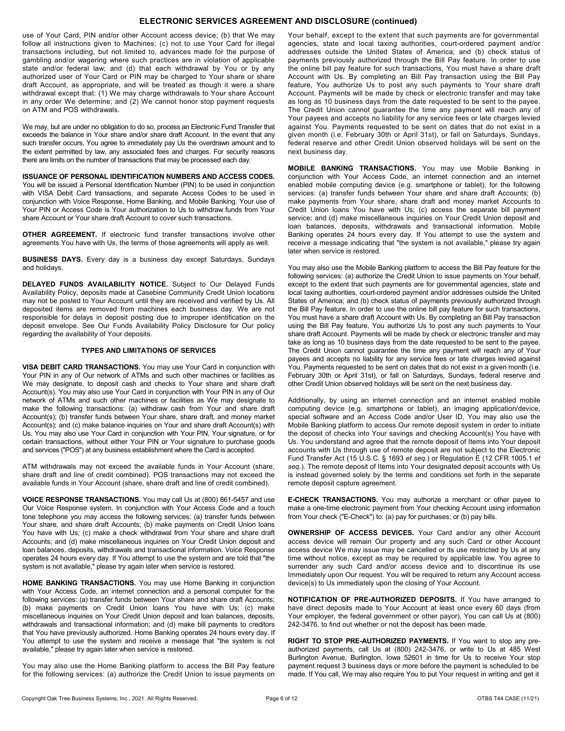#### **ELECTRONIC SERVICES AGREEMENT AND DISCLOSURE (continued)**

use of Your Card, PIN and/or other Account access device; (b) that We may follow all instructions given to Machines; (c) not to use Your Card for illegal transactions including, but not limited to, advances made for the purpose of gambling and/or wagering where such practices are in violation of applicable state and/or federal law; and (d) that each withdrawal by You or by any authorized user of Your Card or PIN may be charged to Your share or share draft Account, as appropriate, and will be treated as though it were a share withdrawal except that: (1) We may charge withdrawals to Your share Account in any order We determine; and (2) We cannot honor stop payment requests on ATM and POS withdrawals.

We may, but are under no obligation to do so, process an Electronic Fund Transfer that exceeds the balance in Your share and/or share draft Account. In the event that any such transfer occurs, You agree to immediately pay Us the overdrawn amount and to the extent permitted by law, any associated fees and charges. For security reasons there are limits on the number of transactions that may be processed each day.

**ISSUANCE OF PERSONAL IDENTIFICATION NUMBERS AND ACCESS CODES.**

You will be issued a Personal Identification Number (PIN) to be used in conjunction with VISA Debit Card transactions, and separate Access Codes to be used in conjunction with Voice Response, Home Banking, and Mobile Banking. Your use of Your PIN or Access Code is Your authorization to Us to withdraw funds from Your share Account or Your share draft Account to cover such transactions.

**OTHER AGREEMENT.** If electronic fund transfer transactions involve other agreements You have with Us, the terms of those agreements will apply as well.

**BUSINESS DAYS.** Every day is a business day except Saturdays, Sundays and holidays.

**DELAYED FUNDS AVAILABILITY NOTICE.** Subject to Our Delayed Funds Availability Policy, deposits made at Casebine Community Credit Union locations may not be posted to Your Account until they are received and verified by Us. All deposited items are removed from machines each business day. We are not responsible for delays in deposit posting due to improper identification on the deposit envelope. See Our Funds Availability Policy Disclosure for Our policy regarding the availability of Your deposits.

#### **TYPES AND LIMITATIONS OF SERVICES**

**VISA DEBIT CARD TRANSACTIONS.** You may use Your Card in conjunction with Your PIN in any of Our network of ATMs and such other machines or facilities as We may designate, to deposit cash and checks to Your share and share draft Account(s). You may also use Your Card in conjunction with Your PIN in any of Our network of ATMs and such other machines or facilities as We may designate to make the following transactions: (a) withdraw cash from Your and share draft Account(s); (b) transfer funds between Your share, share draft, and money market Account(s); and (c) make balance inquiries on Your and share draft Account(s) with Us. You may also use Your Card in conjunction with Your PIN, Your signature, or for certain transactions, without either Your PIN or Your signature to purchase goods and services ("POS") at any business establishment where the Card is accepted.

ATM withdrawals may not exceed the available funds in Your Account (share, share draft and line of credit combined). POS transactions may not exceed the available funds in Your Account (share, share draft and line of credit combined).

**VOICE RESPONSE TRANSACTIONS.** You may call Us at (800) 861-5457 and use Our Voice Response system. In conjunction with Your Access Code and a touch tone telephone you may access the following services: (a) transfer funds between Your share, and share draft Accounts; (b) make payments on Credit Union loans You have with Us; (c) make a check withdrawal from Your share and share draft Accounts; and (d) make miscellaneous inquiries on Your Credit Union deposit and loan balances, deposits, withdrawals and transactional information. Voice Response operates 24 hours every day. If You attempt to use the system and are told that "the system is not available," please try again later when service is restored.

**HOME BANKING TRANSACTIONS.** You may use Home Banking in conjunction with Your Access Code, an internet connection and a personal computer for the following services: (a) transfer funds between Your share and share draft Accounts; (b) make payments on Credit Union loans You have with Us; (c) make miscellaneous inquiries on Your Credit Union deposit and loan balances, deposits, withdrawals and transactional information; and (d) make bill payments to creditors that You have previously authorized. Home Banking operates 24 hours every day. If You attempt to use the system and receive a message that "the system is not available," please try again later when service is restored.

You may also use the Home Banking platform to access the Bill Pay feature for the following services: (a) authorize the Credit Union to issue payments on Your behalf, except to the extent that such payments are for governmental agencies, state and local taxing authorities, court-ordered payment and/or addresses outside the United States of America; and (b) check status of payments previously authorized through the Bill Pay feature. In order to use the online bill pay feature for such transactions, You must have a share draft Account with Us. By completing an Bill Pay transaction using the Bill Pay feature, You authorize Us to post any such payments to Your share draft Account. Payments will be made by check or electronic transfer and may take as long as 10 business days from the date requested to be sent to the payee. The Credit Union cannot guarantee the time any payment will reach any of Your payees and accepts no liability for any service fees or late charges levied against You. Payments requested to be sent on dates that do not exist in a given month (i.e. February 30th or April 31st), or fall on Saturdays, Sundays, federal reserve and other Credit Union observed holidays will be sent on the next business day.

**MOBILE BANKING TRANSACTIONS.** You may use Mobile Banking in conjunction with Your Access Code, an internet connection and an internet enabled mobile computing device (e.g. smartphone or tablet), for the following services: (a) transfer funds between Your share and share draft Accounts; (b) make payments from Your share, share draft and money market Accounts to Credit Union loans You have with Us; (c) access the separate bill payment service; and (d) make miscellaneous inquiries on Your Credit Union deposit and loan balances, deposits, withdrawals and transactional information. Mobile Banking operates 24 hours every day. If You attempt to use the system and receive a message indicating that "the system is not available," please try again later when service is restored.

You may also use the Mobile Banking platform to access the Bill Pay feature for the following services: (a) authorize the Credit Union to issue payments on Your behalf, except to the extent that such payments are for governmental agencies, state and local taxing authorities, court-ordered payment and/or addresses outside the United States of America; and (b) check status of payments previously authorized through the Bill Pay feature. In order to use the online bill pay feature for such transactions, You must have a share draft Account with Us. By completing an Bill Pay transaction using the Bill Pay feature, You authorize Us to post any such payments to Your share draft Account. Payments will be made by check or electronic transfer and may take as long as 10 business days from the date requested to be sent to the payee. The Credit Union cannot guarantee the time any payment will reach any of Your payees and accepts no liability for any service fees or late charges levied against You. Payments requested to be sent on dates that do not exist in a given month (i.e. February 30th or April 31st), or fall on Saturdays, Sundays, federal reserve and other Credit Union observed holidays will be sent on the next business day.

Additionally, by using an internet connection and an internet enabled mobile computing device (e.g. smartphone or tablet), an imaging application/device, special software and an Access Code and/or User ID, You may also use the Mobile Banking platform to access Our remote deposit system in order to initiate the deposit of checks into Your savings and checking Account(s) You have with Us. You understand and agree that the remote deposit of Items into Your deposit accounts with Us through use of remote deposit are not subject to the Electronic Fund Transfer Act (15 U.S.C. § 1693 *et seq.*) or Regulation E (12 CFR 1005.1 *et seq.*). The remote deposit of Items into Your designated deposit accounts with Us is instead governed solely by the terms and conditions set forth in the separate remote deposit capture agreement.

**E-CHECK TRANSACTIONS.** You may authorize a merchant or other payee to make a one-time electronic payment from Your checking Account using information from Your check ("E-Check") to: (a) pay for purchases; or (b) pay bills.

**OWNERSHIP OF ACCESS DEVICES.** Your Card and/or any other Account access device will remain Our property and any such Card or other Account access device We may issue may be cancelled or its use restricted by Us at any time without notice, except as may be required by applicable law. You agree to surrender any such Card and/or access device and to discontinue its use Immediately upon Our request. You will be required to return any Account access device(s) to Us immediately upon the closing of Your Account.

**NOTIFICATION OF PRE-AUTHORIZED DEPOSITS.** If You have arranged to have direct deposits made to Your Account at least once every 60 days (from Your employer, the federal government or other payor), You can call Us at (800) 242-3476, to find out whether or not the deposit has been made.

**RIGHT TO STOP PRE-AUTHORIZED PAYMENTS.** If You want to stop any preauthorized payments, call Us at (800) 242-3476, or write to Us at 485 West Burlington Avenue, Burlington, Iowa 52601 in time for Us to receive Your stop payment request 3 business days or more before the payment is scheduled to be made. If You call, We may also require You to put Your request in writing and get it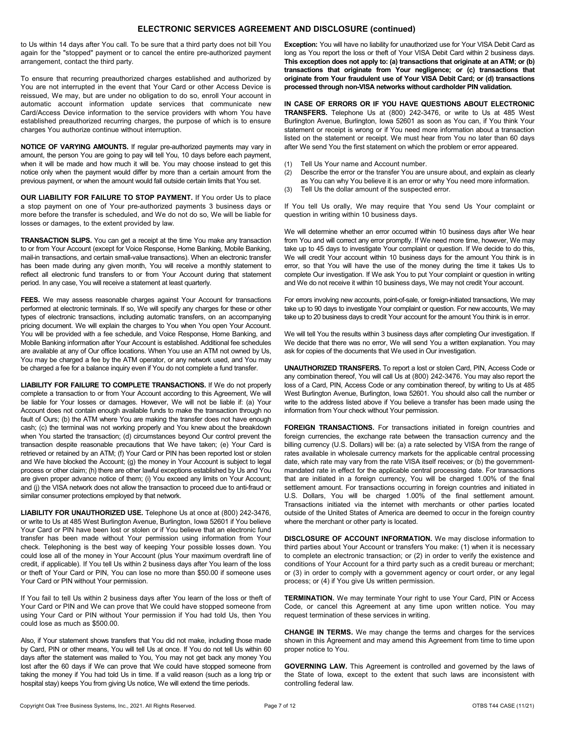#### **ELECTRONIC SERVICES AGREEMENT AND DISCLOSURE (continued)**

to Us within 14 days after You call. To be sure that a third party does not bill You again for the "stopped" payment or to cancel the entire pre-authorized payment arrangement, contact the third party.

To ensure that recurring preauthorized charges established and authorized by You are not interrupted in the event that Your Card or other Access Device is reissued, We may, but are under no obligation to do so, enroll Your account in automatic account information update services that communicate new Card/Access Device information to the service providers with whom You have established preauthorized recurring charges, the purpose of which is to ensure charges You authorize continue without interruption.

**NOTICE OF VARYING AMOUNTS.** If regular pre-authorized payments may vary in amount, the person You are going to pay will tell You, 10 days before each payment, when it will be made and how much it will be. You may choose instead to get this notice only when the payment would differ by more than a certain amount from the previous payment, or when the amount would fall outside certain limits that You set.

**OUR LIABILITY FOR FAILURE TO STOP PAYMENT.** If You order Us to place a stop payment on one of Your pre-authorized payments 3 business days or more before the transfer is scheduled, and We do not do so, We will be liable for losses or damages, to the extent provided by law.

**TRANSACTION SLIPS.** You can get a receipt at the time You make any transaction to or from Your Account (except for Voice Response, Home Banking, Mobile Banking, mail-in transactions, and certain small-value transactions). When an electronic transfer has been made during any given month, You will receive a monthly statement to reflect all electronic fund transfers to or from Your Account during that statement period. In any case, You will receive a statement at least quarterly.

**FEES.** We may assess reasonable charges against Your Account for transactions performed at electronic terminals. If so, We will specify any charges for these or other types of electronic transactions, including automatic transfers, on an accompanying pricing document. We will explain the charges to You when You open Your Account. You will be provided with a fee schedule, and Voice Response, Home Banking, and Mobile Banking information after Your Account is established. Additional fee schedules are available at any of Our office locations. When You use an ATM not owned by Us, You may be charged a fee by the ATM operator, or any network used, and You may be charged a fee for a balance inquiry even if You do not complete a fund transfer.

**LIABILITY FOR FAILURE TO COMPLETE TRANSACTIONS.** If We do not properly complete a transaction to or from Your Account according to this Agreement, We will be liable for Your losses or damages. However, We will not be liable if: (a) Your Account does not contain enough available funds to make the transaction through no fault of Ours; (b) the ATM where You are making the transfer does not have enough cash; (c) the terminal was not working properly and You knew about the breakdown when You started the transaction; (d) circumstances beyond Our control prevent the transaction despite reasonable precautions that We have taken; (e) Your Card is retrieved or retained by an ATM; (f) Your Card or PIN has been reported lost or stolen and We have blocked the Account; (g) the money in Your Account is subject to legal process or other claim; (h) there are other lawful exceptions established by Us and You are given proper advance notice of them; (i) You exceed any limits on Your Account; and (j) the VISA network does not allow the transaction to proceed due to anti-fraud or similar consumer protections employed by that network.

**LIABILITY FOR UNAUTHORIZED USE.** Telephone Us at once at (800) 242-3476, or write to Us at 485 West Burlington Avenue, Burlington, Iowa 52601 if You believe Your Card or PIN have been lost or stolen or if You believe that an electronic fund transfer has been made without Your permission using information from Your check. Telephoning is the best way of keeping Your possible losses down. You could lose all of the money in Your Account (plus Your maximum overdraft line of credit, if applicable). If You tell Us within 2 business days after You learn of the loss or theft of Your Card or PIN, You can lose no more than \$50.00 if someone uses Your Card or PIN without Your permission.

If You fail to tell Us within 2 business days after You learn of the loss or theft of Your Card or PIN and We can prove that We could have stopped someone from using Your Card or PIN without Your permission if You had told Us, then You could lose as much as \$500.00.

Also, if Your statement shows transfers that You did not make, including those made by Card, PIN or other means, You will tell Us at once. If You do not tell Us within 60 days after the statement was mailed to You, You may not get back any money You lost after the 60 days if We can prove that We could have stopped someone from taking the money if You had told Us in time. If a valid reason (such as a long trip or hospital stay) keeps You from giving Us notice, We will extend the time periods.

**Exception:** You will have no liability for unauthorized use for Your VISA Debit Card as long as You report the loss or theft of Your VISA Debit Card within 2 business days. **This exception does not apply to: (a) transactions that originate at an ATM; or (b) transactions that originate from Your negligence; or (c) transactions that originate from Your fraudulent use of Your VISA Debit Card; or (d) transactions processed through non-VISA networks without cardholder PIN validation.** 

**IN CASE OF ERRORS OR IF YOU HAVE QUESTIONS ABOUT ELECTRONIC TRANSFERS.** Telephone Us at (800) 242-3476, or write to Us at 485 West Burlington Avenue, Burlington, Iowa 52601 as soon as You can, if You think Your statement or receipt is wrong or if You need more information about a transaction listed on the statement or receipt. We must hear from You no later than 60 days after We send You the first statement on which the problem or error appeared.

- (1) Tell Us Your name and Account number.
- (2) Describe the error or the transfer You are unsure about, and explain as clearly as You can why You believe it is an error or why You need more information.
- (3) Tell Us the dollar amount of the suspected error.

If You tell Us orally, We may require that You send Us Your complaint or question in writing within 10 business days.

We will determine whether an error occurred within 10 business days after We hear from You and will correct any error promptly. If We need more time, however, We may take up to 45 days to investigate Your complaint or question. If We decide to do this, We will credit Your account within 10 business days for the amount You think is in error, so that You will have the use of the money during the time it takes Us to complete Our investigation. If We ask You to put Your complaint or question in writing and We do not receive it within 10 business days, We may not credit Your account.

For errors involving new accounts, point-of-sale, or foreign-initiated transactions, We may take up to 90 days to investigate Your complaint or question. For new accounts, We may take up to 20 business days to credit Your account for the amount You think is in error.

We will tell You the results within 3 business days after completing Our investigation. If We decide that there was no error, We will send You a written explanation. You may ask for copies of the documents that We used in Our investigation.

**UNAUTHORIZED TRANSFERS.** To report a lost or stolen Card, PIN, Access Code or any combination thereof, You will call Us at (800) 242-3476. You may also report the loss of a Card, PIN, Access Code or any combination thereof, by writing to Us at 485 West Burlington Avenue, Burlington, Iowa 52601. You should also call the number or write to the address listed above if You believe a transfer has been made using the information from Your check without Your permission.

**FOREIGN TRANSACTIONS.** For transactions initiated in foreign countries and foreign currencies, the exchange rate between the transaction currency and the billing currency (U.S. Dollars) will be: (a) a rate selected by VISA from the range of rates available in wholesale currency markets for the applicable central processing date, which rate may vary from the rate VISA itself receives; or (b) the governmentmandated rate in effect for the applicable central processing date. For transactions that are initiated in a foreign currency, You will be charged 1.00% of the final settlement amount. For transactions occurring in foreign countries and initiated in U.S. Dollars, You will be charged 1.00% of the final settlement amount. Transactions initiated via the internet with merchants or other parties located outside of the United States of America are deemed to occur in the foreign country where the merchant or other party is located.

**DISCLOSURE OF ACCOUNT INFORMATION.** We may disclose information to third parties about Your Account or transfers You make: (1) when it is necessary to complete an electronic transaction; or (2) in order to verify the existence and conditions of Your Account for a third party such as a credit bureau or merchant; or (3) in order to comply with a government agency or court order, or any legal process; or (4) if You give Us written permission.

**TERMINATION.** We may terminate Your right to use Your Card, PIN or Access Code, or cancel this Agreement at any time upon written notice. You may request termination of these services in writing.

**CHANGE IN TERMS.** We may change the terms and charges for the services shown in this Agreement and may amend this Agreement from time to time upon proper notice to You.

**GOVERNING LAW.** This Agreement is controlled and governed by the laws of the State of Iowa, except to the extent that such laws are inconsistent with controlling federal law.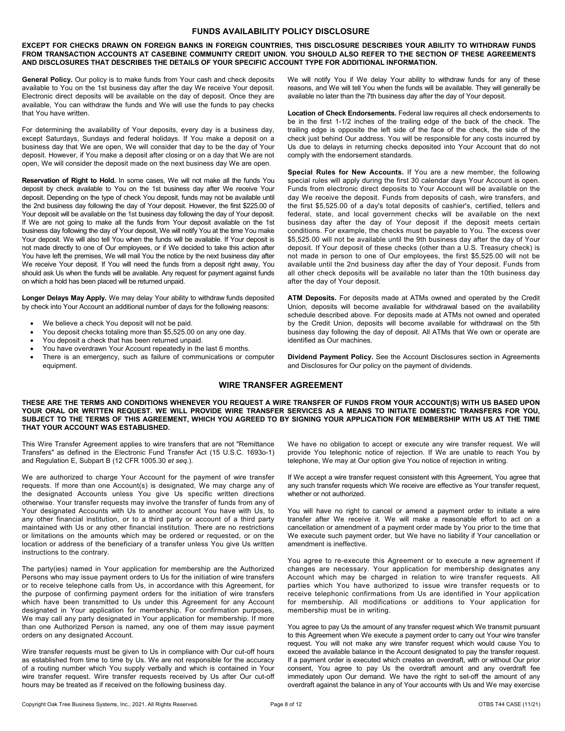#### **FUNDS AVAILABILITY POLICY DISCLOSURE**

#### **EXCEPT FOR CHECKS DRAWN ON FOREIGN BANKS IN FOREIGN COUNTRIES, THIS DISCLOSURE DESCRIBES YOUR ABILITY TO WITHDRAW FUNDS FROM TRANSACTION ACCOUNTS AT CASEBINE COMMUNITY CREDIT UNION. YOU SHOULD ALSO REFER TO THE SECTION OF THESE AGREEMENTS AND DISCLOSURES THAT DESCRIBES THE DETAILS OF YOUR SPECIFIC ACCOUNT TYPE FOR ADDITIONAL INFORMATION.**

**General Policy.** Our policy is to make funds from Your cash and check deposits available to You on the 1st business day after the day We receive Your deposit. Electronic direct deposits will be available on the day of deposit. Once they are available, You can withdraw the funds and We will use the funds to pay checks that You have written.

For determining the availability of Your deposits, every day is a business day, except Saturdays, Sundays and federal holidays. If You make a deposit on a business day that We are open, We will consider that day to be the day of Your deposit. However, if You make a deposit after closing or on a day that We are not open, We will consider the deposit made on the next business day We are open.

**Reservation of Right to Hold.** In some cases, We will not make all the funds You deposit by check available to You on the 1st business day after We receive Your deposit. Depending on the type of check You deposit, funds may not be available until the 2nd business day following the day of Your deposit. However, the first \$225.00 of Your deposit will be available on the 1st business day following the day of Your deposit. If We are not going to make all the funds from Your deposit available on the 1st business day following the day of Your deposit, We will notify You at the time You make Your deposit. We will also tell You when the funds will be available. If Your deposit is not made directly to one of Our employees, or if We decided to take this action after You have left the premises, We will mail You the notice by the next business day after We receive Your deposit. If You will need the funds from a deposit right away, You should ask Us when the funds will be available. Any request for payment against funds on which a hold has been placed will be returned unpaid.

**Longer Delays May Apply.** We may delay Your ability to withdraw funds deposited by check into Your Account an additional number of days for the following reasons:

- We believe a check You deposit will not be paid.
- You deposit checks totaling more than \$5,525.00 on any one day.
- You deposit a check that has been returned unpaid.
- You have overdrawn Your Account repeatedly in the last 6 months.
- There is an emergency, such as failure of communications or computer equipment.

We will notify You if We delay Your ability to withdraw funds for any of these reasons, and We will tell You when the funds will be available. They will generally be available no later than the 7th business day after the day of Your deposit.

**Location of Check Endorsements.** Federal law requires all check endorsements to be in the first 1-1/2 inches of the trailing edge of the back of the check. The trailing edge is opposite the left side of the face of the check, the side of the check just behind Our address. You will be responsible for any costs incurred by Us due to delays in returning checks deposited into Your Account that do not comply with the endorsement standards.

**Special Rules for New Accounts.** If You are a new member, the following special rules will apply during the first 30 calendar days Your Account is open. Funds from electronic direct deposits to Your Account will be available on the day We receive the deposit. Funds from deposits of cash, wire transfers, and the first \$5,525.00 of a day's total deposits of cashier's, certified, tellers and federal, state, and local government checks will be available on the next business day after the day of Your deposit if the deposit meets certain conditions. For example, the checks must be payable to You. The excess over \$5,525.00 will not be available until the 9th business day after the day of Your deposit. If Your deposit of these checks (other than a U.S. Treasury check) is not made in person to one of Our employees, the first \$5,525.00 will not be available until the 2nd business day after the day of Your deposit. Funds from all other check deposits will be available no later than the 10th business day after the day of Your deposit.

**ATM Deposits.** For deposits made at ATMs owned and operated by the Credit Union, deposits will become available for withdrawal based on the availability schedule described above. For deposits made at ATMs not owned and operated by the Credit Union, deposits will become available for withdrawal on the 5th business day following the day of deposit. All ATMs that We own or operate are identified as Our machines.

**Dividend Payment Policy.** See the Account Disclosures section in Agreements and Disclosures for Our policy on the payment of dividends.

#### **WIRE TRANSFER AGREEMENT**

**THESE ARE THE TERMS AND CONDITIONS WHENEVER YOU REQUEST A WIRE TRANSFER OF FUNDS FROM YOUR ACCOUNT(S) WITH US BASED UPON YOUR ORAL OR WRITTEN REQUEST. WE WILL PROVIDE WIRE TRANSFER SERVICES AS A MEANS TO INITIATE DOMESTIC TRANSFERS FOR YOU, SUBJECT TO THE TERMS OF THIS AGREEMENT, WHICH YOU AGREED TO BY SIGNING YOUR APPLICATION FOR MEMBERSHIP WITH US AT THE TIME THAT YOUR ACCOUNT WAS ESTABLISHED.** 

This Wire Transfer Agreement applies to wire transfers that are not "Remittance Transfers" as defined in the Electronic Fund Transfer Act (15 U.S.C. 1693o-1) and Regulation E, Subpart B (12 CFR 1005.30 *et seq.*).

We are authorized to charge Your Account for the payment of wire transfer requests. If more than one Account(s) is designated, We may charge any of the designated Accounts unless You give Us specific written directions otherwise. Your transfer requests may involve the transfer of funds from any of Your designated Accounts with Us to another account You have with Us, to any other financial institution, or to a third party or account of a third party maintained with Us or any other financial institution. There are no restrictions or limitations on the amounts which may be ordered or requested, or on the location or address of the beneficiary of a transfer unless You give Us written instructions to the contrary.

The party(ies) named in Your application for membership are the Authorized Persons who may issue payment orders to Us for the initiation of wire transfers or to receive telephone calls from Us, in accordance with this Agreement, for the purpose of confirming payment orders for the initiation of wire transfers which have been transmitted to Us under this Agreement for any Account designated in Your application for membership. For confirmation purposes, We may call any party designated in Your application for membership. If more than one Authorized Person is named, any one of them may issue payment orders on any designated Account.

Wire transfer requests must be given to Us in compliance with Our cut-off hours as established from time to time by Us. We are not responsible for the accuracy of a routing number which You supply verbally and which is contained in Your wire transfer request. Wire transfer requests received by Us after Our cut-off hours may be treated as if received on the following business day.

We have no obligation to accept or execute any wire transfer request. We will provide You telephonic notice of rejection. If We are unable to reach You by telephone, We may at Our option give You notice of rejection in writing.

If We accept a wire transfer request consistent with this Agreement, You agree that any such transfer requests which We receive are effective as Your transfer request, whether or not authorized.

You will have no right to cancel or amend a payment order to initiate a wire transfer after We receive it. We will make a reasonable effort to act on a cancellation or amendment of a payment order made by You prior to the time that We execute such payment order, but We have no liability if Your cancellation or amendment is ineffective.

You agree to re-execute this Agreement or to execute a new agreement if changes are necessary. Your application for membership designates any Account which may be charged in relation to wire transfer requests. All parties which You have authorized to issue wire transfer requests or to receive telephonic confirmations from Us are identified in Your application for membership. All modifications or additions to Your application for membership must be in writing.

You agree to pay Us the amount of any transfer request which We transmit pursuant to this Agreement when We execute a payment order to carry out Your wire transfer request. You will not make any wire transfer request which would cause You to exceed the available balance in the Account designated to pay the transfer request. If a payment order is executed which creates an overdraft, with or without Our prior consent, You agree to pay Us the overdraft amount and any overdraft fee immediately upon Our demand. We have the right to set-off the amount of any overdraft against the balance in any of Your accounts with Us and We may exercise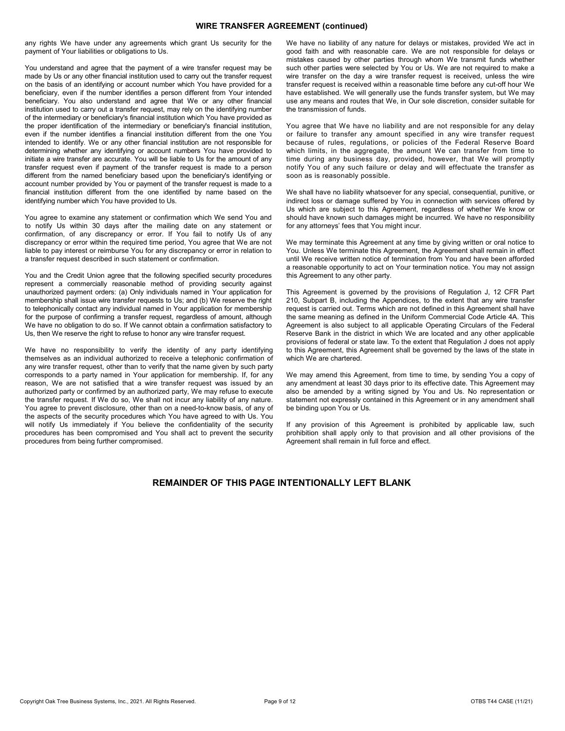#### **WIRE TRANSFER AGREEMENT (continued)**

any rights We have under any agreements which grant Us security for the payment of Your liabilities or obligations to Us.

You understand and agree that the payment of a wire transfer request may be made by Us or any other financial institution used to carry out the transfer request on the basis of an identifying or account number which You have provided for a beneficiary, even if the number identifies a person different from Your intended beneficiary. You also understand and agree that We or any other financial institution used to carry out a transfer request, may rely on the identifying number of the intermediary or beneficiary's financial institution which You have provided as the proper identification of the intermediary or beneficiary's financial institution, even if the number identifies a financial institution different from the one You intended to identify. We or any other financial institution are not responsible for determining whether any identifying or account numbers You have provided to initiate a wire transfer are accurate. You will be liable to Us for the amount of any transfer request even if payment of the transfer request is made to a person different from the named beneficiary based upon the beneficiary's identifying or account number provided by You or payment of the transfer request is made to a financial institution different from the one identified by name based on the identifying number which You have provided to Us.

You agree to examine any statement or confirmation which We send You and to notify Us within 30 days after the mailing date on any statement or confirmation, of any discrepancy or error. If You fail to notify Us of any discrepancy or error within the required time period, You agree that We are not liable to pay interest or reimburse You for any discrepancy or error in relation to a transfer request described in such statement or confirmation.

You and the Credit Union agree that the following specified security procedures represent a commercially reasonable method of providing security against unauthorized payment orders: (a) Only individuals named in Your application for membership shall issue wire transfer requests to Us; and (b) We reserve the right to telephonically contact any individual named in Your application for membership for the purpose of confirming a transfer request, regardless of amount, although We have no obligation to do so. If We cannot obtain a confirmation satisfactory to Us, then We reserve the right to refuse to honor any wire transfer request.

We have no responsibility to verify the identity of any party identifying themselves as an individual authorized to receive a telephonic confirmation of any wire transfer request, other than to verify that the name given by such party corresponds to a party named in Your application for membership. If, for any reason, We are not satisfied that a wire transfer request was issued by an authorized party or confirmed by an authorized party, We may refuse to execute the transfer request. If We do so, We shall not incur any liability of any nature. You agree to prevent disclosure, other than on a need-to-know basis, of any of the aspects of the security procedures which You have agreed to with Us. You will notify Us immediately if You believe the confidentiality of the security procedures has been compromised and You shall act to prevent the security procedures from being further compromised.

We have no liability of any nature for delays or mistakes, provided We act in good faith and with reasonable care. We are not responsible for delays or mistakes caused by other parties through whom We transmit funds whether such other parties were selected by You or Us. We are not required to make a wire transfer on the day a wire transfer request is received, unless the wire transfer request is received within a reasonable time before any cut-off hour We have established. We will generally use the funds transfer system, but We may use any means and routes that We, in Our sole discretion, consider suitable for the transmission of funds.

You agree that We have no liability and are not responsible for any delay or failure to transfer any amount specified in any wire transfer request because of rules, regulations, or policies of the Federal Reserve Board which limits, in the aggregate, the amount We can transfer from time to time during any business day, provided, however, that We will promptly notify You of any such failure or delay and will effectuate the transfer as soon as is reasonably possible.

We shall have no liability whatsoever for any special, consequential, punitive, or indirect loss or damage suffered by You in connection with services offered by Us which are subject to this Agreement, regardless of whether We know or should have known such damages might be incurred. We have no responsibility for any attorneys' fees that You might incur.

We may terminate this Agreement at any time by giving written or oral notice to You. Unless We terminate this Agreement, the Agreement shall remain in effect until We receive written notice of termination from You and have been afforded a reasonable opportunity to act on Your termination notice. You may not assign this Agreement to any other party.

This Agreement is governed by the provisions of Regulation J, 12 CFR Part 210, Subpart B, including the Appendices, to the extent that any wire transfer request is carried out. Terms which are not defined in this Agreement shall have the same meaning as defined in the Uniform Commercial Code Article 4A. This Agreement is also subject to all applicable Operating Circulars of the Federal Reserve Bank in the district in which We are located and any other applicable provisions of federal or state law. To the extent that Regulation J does not apply to this Agreement, this Agreement shall be governed by the laws of the state in which We are chartered.

We may amend this Agreement, from time to time, by sending You a copy of any amendment at least 30 days prior to its effective date. This Agreement may also be amended by a writing signed by You and Us. No representation or statement not expressly contained in this Agreement or in any amendment shall be binding upon You or Us.

If any provision of this Agreement is prohibited by applicable law, such prohibition shall apply only to that provision and all other provisions of the Agreement shall remain in full force and effect.

## **REMAINDER OF THIS PAGE INTENTIONALLY LEFT BLANK**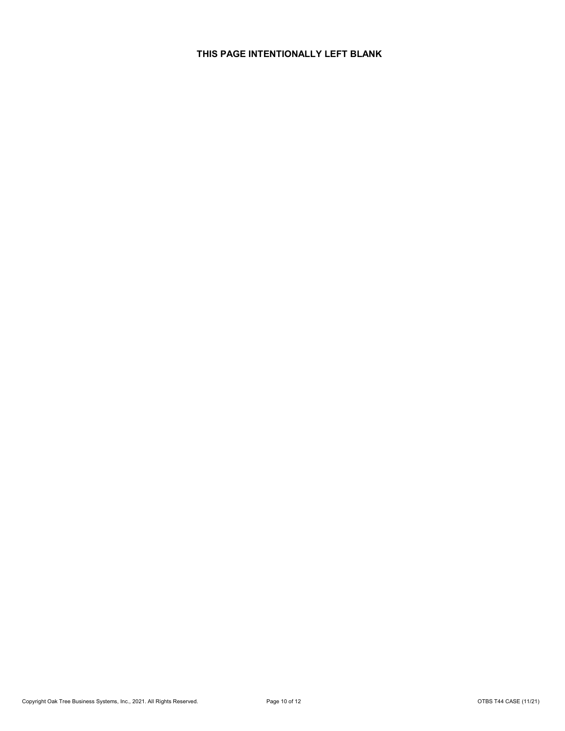## **THIS PAGE INTENTIONALLY LEFT BLANK**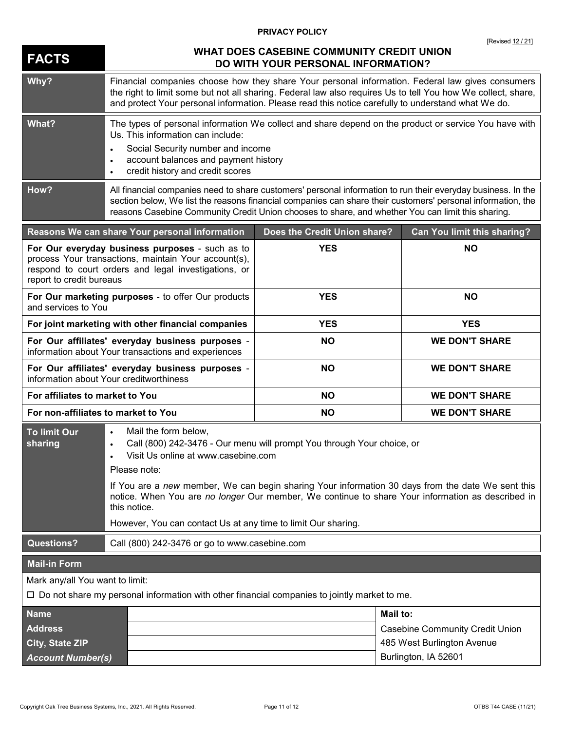## **PRIVACY POLICY**

| <b>FACTS</b>                                                                                                                                                                                                                                                                                                                                                                                                                                                                                   |                                                                                    | WHAT DOES CASEBINE COMMUNITY CREDIT UNION<br>DO WITH YOUR PERSONAL INFORMATION?                                                                                                                                                                                                                                                  |                                                                                                          |  |
|------------------------------------------------------------------------------------------------------------------------------------------------------------------------------------------------------------------------------------------------------------------------------------------------------------------------------------------------------------------------------------------------------------------------------------------------------------------------------------------------|------------------------------------------------------------------------------------|----------------------------------------------------------------------------------------------------------------------------------------------------------------------------------------------------------------------------------------------------------------------------------------------------------------------------------|----------------------------------------------------------------------------------------------------------|--|
| Why?                                                                                                                                                                                                                                                                                                                                                                                                                                                                                           |                                                                                    | Financial companies choose how they share Your personal information. Federal law gives consumers<br>the right to limit some but not all sharing. Federal law also requires Us to tell You how We collect, share,<br>and protect Your personal information. Please read this notice carefully to understand what We do.           |                                                                                                          |  |
| What?                                                                                                                                                                                                                                                                                                                                                                                                                                                                                          | Us. This information can include:<br>$\bullet$<br>credit history and credit scores | The types of personal information We collect and share depend on the product or service You have with<br>Social Security number and income<br>account balances and payment history                                                                                                                                               |                                                                                                          |  |
| How?                                                                                                                                                                                                                                                                                                                                                                                                                                                                                           |                                                                                    | All financial companies need to share customers' personal information to run their everyday business. In the<br>section below, We list the reasons financial companies can share their customers' personal information, the<br>reasons Casebine Community Credit Union chooses to share, and whether You can limit this sharing. |                                                                                                          |  |
|                                                                                                                                                                                                                                                                                                                                                                                                                                                                                                | Reasons We can share Your personal information                                     | Does the Credit Union share?                                                                                                                                                                                                                                                                                                     | <b>Can You limit this sharing?</b>                                                                       |  |
| For Our everyday business purposes - such as to<br>process Your transactions, maintain Your account(s),<br>respond to court orders and legal investigations, or<br>report to credit bureaus                                                                                                                                                                                                                                                                                                    |                                                                                    | <b>YES</b>                                                                                                                                                                                                                                                                                                                       | <b>NO</b>                                                                                                |  |
| For Our marketing purposes - to offer Our products<br>and services to You                                                                                                                                                                                                                                                                                                                                                                                                                      |                                                                                    | <b>YES</b>                                                                                                                                                                                                                                                                                                                       | <b>NO</b>                                                                                                |  |
| For joint marketing with other financial companies                                                                                                                                                                                                                                                                                                                                                                                                                                             |                                                                                    | <b>YES</b>                                                                                                                                                                                                                                                                                                                       | <b>YES</b>                                                                                               |  |
| For Our affiliates' everyday business purposes -<br>information about Your transactions and experiences                                                                                                                                                                                                                                                                                                                                                                                        |                                                                                    | <b>NO</b>                                                                                                                                                                                                                                                                                                                        | <b>WE DON'T SHARE</b>                                                                                    |  |
| For Our affiliates' everyday business purposes -<br>information about Your creditworthiness                                                                                                                                                                                                                                                                                                                                                                                                    |                                                                                    | <b>NO</b>                                                                                                                                                                                                                                                                                                                        | <b>WE DON'T SHARE</b>                                                                                    |  |
| For affiliates to market to You                                                                                                                                                                                                                                                                                                                                                                                                                                                                |                                                                                    | <b>NO</b>                                                                                                                                                                                                                                                                                                                        | <b>WE DON'T SHARE</b>                                                                                    |  |
| For non-affiliates to market to You                                                                                                                                                                                                                                                                                                                                                                                                                                                            |                                                                                    | <b>NO</b>                                                                                                                                                                                                                                                                                                                        | <b>WE DON'T SHARE</b>                                                                                    |  |
| Mail the form below,<br><b>To limit Our</b><br>$\bullet$<br>sharing<br>Call (800) 242-3476 - Our menu will prompt You through Your choice, or<br>Visit Us online at www.casebine.com<br>Please note:<br>If You are a new member, We can begin sharing Your information 30 days from the date We sent this<br>notice. When You are no longer Our member, We continue to share Your information as described in<br>this notice.<br>However, You can contact Us at any time to limit Our sharing. |                                                                                    |                                                                                                                                                                                                                                                                                                                                  |                                                                                                          |  |
| <b>Questions?</b>                                                                                                                                                                                                                                                                                                                                                                                                                                                                              | Call (800) 242-3476 or go to www.casebine.com                                      |                                                                                                                                                                                                                                                                                                                                  |                                                                                                          |  |
| <b>Mail-in Form</b>                                                                                                                                                                                                                                                                                                                                                                                                                                                                            |                                                                                    |                                                                                                                                                                                                                                                                                                                                  |                                                                                                          |  |
| Mark any/all You want to limit:<br>$\Box$ Do not share my personal information with other financial companies to jointly market to me.                                                                                                                                                                                                                                                                                                                                                         |                                                                                    |                                                                                                                                                                                                                                                                                                                                  |                                                                                                          |  |
| <b>Name</b><br><b>Address</b><br>City, State ZIP<br><b>Account Number(s)</b>                                                                                                                                                                                                                                                                                                                                                                                                                   |                                                                                    |                                                                                                                                                                                                                                                                                                                                  | Mail to:<br><b>Casebine Community Credit Union</b><br>485 West Burlington Avenue<br>Burlington, IA 52601 |  |